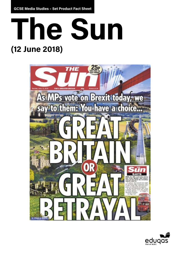**GCSE Media Studies – Set Product Fact Sheet**





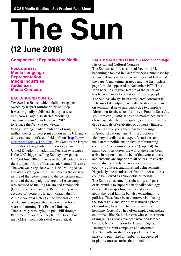# **The Sun (12 June 2018)**

## **Component 1: Exploring the Media**

**Focus areas: Media Language Representation Media Industries Audiences Media Contexts**

#### **BACKGROUND CONTEXT**

*The Sun* is a British tabloid daily newspaper owned by Rupert Murdoch's News Corp. It was originally published six days a week until News Corp. also started producing *The Sun on Sunday* in February 2012 to replace the *News of the World*. With an average daily circulation of roughly 1.6 million copies of their print edition in the UK and a daily readership of around 4.1 million ([http://www.](http://www.newsworks.org.uk/The-Sun) [newsworks.org.uk/The-Sun\)](http://www.newsworks.org.uk/The-Sun), *The Sun* has the largest circulation of any daily print newspaper in the United Kingdom. In addition, *The Sun on Sunday* is the UK's biggest selling Sunday newspaper. On 23rd June 2016, citizens of the UK voted to leave the European Union. This was nicknamed 'Brexit'. The vote was very close with 51.9% voting leave and 48.1% voting remain. This reflects the divisive nature of the referendum and the sometimes ugly nature of the campaigns where the Leave camp was accused of fuelling racism and xenophobia (fear of strangers), and the Remain camp was accused of 'betraying Britain' (nationalism). Almost two years later (on the date this edition of *The Sun* was published) different factions were still arguing. The Prime Minister, Theresa May was trying to put a bill through Parliament to approve her plan for Brexit, but many MPs (from both sides) were critical.

**PART 1: STARTING POINTS – Media language** Historical and Cultural Contexts: The Sun started life as a broadsheet in 1964, becoming a tabloid in 1969 after being purchased by its current owners. Sex was an important feature of the paper's marketing strategy and the first topless page 3 model appeared in November 1970. This soon became a regular feature of the paper and has been an area of contention for some people. The Sun has always been considered controversial in terms of its output, partly due to its over-reliance on sensational news and partly due to complete fabrication for the sake of a story ("Freddie Starr Ate My Hamster", 1986). It has also maintained an 'antielitist' agenda where it regularly exposes the sex or drug scandals of celebrities or authority figures. In the past five years there has been a surge in 'populist nationalism'. This is a political ideology that distrusts 'experts', statistics and mainstream politicians in favour of returning control to 'the common people' (populist). In many countries across the world, there has been a rise in nationalism; the belief that your country and customs are superior to all others. Positively, nationalism could be seen as pride in your country's culture, traditions and achievements. Negatively, the dismissal or fear of other cultures could be viewed as xenophobia or racism. The Sun is unashamedly right wing, and part of its brand is to support a nationalist ideology - especially in sporting events and stories about the royal family, but also extending into politics. These have been controversial: during the 1980s Falkland War they featured a photo of a sinking Argentine battleship with the headline 'Gotcha!'. They often employ outspoken columnists like Katie Hopkins whose descriptions of migrants as "cockroaches" were condemned by the UN Commission for Human Rights. During the Brexit campaign and aftermath, The Sun enthusiastically supported the leave party and published a number of exaggerated or plainly untrue stories that linked into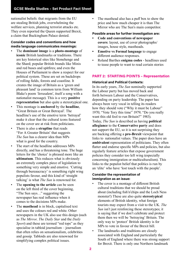nationalist beliefs: that migrants from the EU are stealing British jobs, overwhelming the welfare services, planning terrorist attacks etc. They even reported the Queen supported Brexit, a claim that Buckingham Palace denied.

### **Consider codes and conventions and how media language communicates meanings:**

- The **dominant image** is a **photo-montage** of **iconic** British landmarks or traditions. There are key historical sites like Stonehenge and the Shard; popular British brands like Minis and red buses and spitfires; and even the Houses of Parliament to show a respect for our political system. These are set on backdrops of rolling fields, forests and coastline. It creates the image of Britain as a 'green and pleasant land' (a common term from William Blake's poem 'Jerusalem', itself a song with a nationalist message). This is a very **positive representation** but also quite a stereotypical one.
- This montage is **anchored** by the **headline**, "Great Britain or Great Betrayal'. The headline's use of the emotive term 'betrayal' make it clear that the cultural icons featured on the cover are at risk from politicians.
- There is also a **strapline** that reads "For A Greater Britain' that suggests *The Sun* has a clearer idea than MPs what is good for the country.
- The start of the headline addresses MPs directly, and has a threatening tone. The huge letters for the 'choice' is phrased more like an **ultimatum**. This reduces what is obviously an extremely complex piece of legislation to something very simple and emotive. 'Cutting through bureaucracy' is something right wing populists favour, and this kind of 'straight talking' is what *The Sun* is renowned for.
- The **opening to the article** can be seen on the left third of the cover beginning, "The Sun says…" suggesting the newspaper has real influence when it comes to the decisions MPs make.
- The **masthead** is in block, capitalised text and uses the colours red and white. Other newspapers in the UK also use this design (such as *The Mirror, The Daily Star* and the *Daily Sport*) and these are termed "red tops" as they specialise in tabloid journalism – journalism that often relies on sensationalism, celebrities and gossip. Tabloids are also renowned for simplifying complex political issues.

• The masthead also has a puff box to show the price and how much cheaper it is than The Mirror who are The Sun's main competitor.

#### **Possible areas for further investigation are:**

- **• Code and conventions of newspaper covers**: layout, use of cover photographs/ images, house style, mastheads.
- **• Emotive vs Formal language** to engage different audience responses.
- Roland Barthes **enigma codes** headlines used to tease people to want to read certain stories

### **PART 2: STARTING POINTS – Representation**

#### **Historical and Political Contexts:**

In its early years, *The Sun* nominally supported the Labour party but has moved back and forth between Labour and the Conservatives, depending on party leadership. The paper has always been very vocal in telling its readers how they should vote ("Why it must be Labour" 1970; "Vote Tory this time" 1979; "Do you really want this old fool to run Britain?" 1983). Today, *The Sun* is described as having **political allegiance** to the **Conservative party** and does not support the EU, so it is not surprising they are backing offering a **pro-Brexit** viewpoint that links to nationalist values. The paper does have an **ambivalent** representation of politicians. They often flatter and endorse specific MPs and policies, but also regularly feature articles that expose government policies they consider too left wing (especially concerning immigration or multiculturalism). This links to the populist belief that politics is run by an 'elite' who have 'lost touch with the people'.

#### **Consider the representation of immigration as an issue:**

- The cover is a montage of different British cultural traditions that we should be proud about (including fish'n'chips and the Loch Ness monster!) These are also quite **stereotypical** elements of British identity, what foreign tourists may expect from a visit to the UK. *The Sun* isn't just reinforcing these stereotypes; it is saying that if we don't celebrate and protect them then we will be 'betraying' Britain. The only way to 'protect' British identity is for MPs to vote in favour of the Brexit bill.
- The landmarks and traditions are closely associated with England and particularly the South of England where there was strong support for Brexit. There is only one Northern landmark